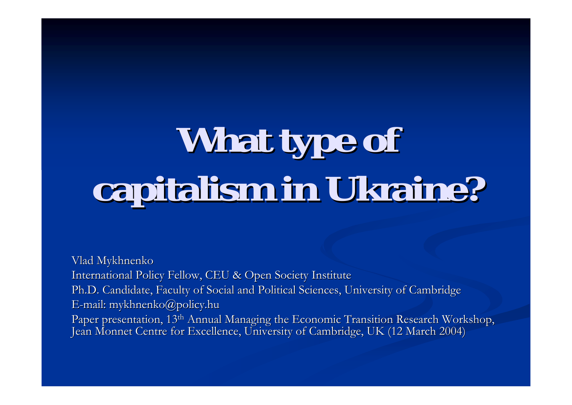# What type of **capitalism in Ukraine? capitalism in Ukraine?**

Vlad Mykhnenko International Policy Fellow, CEU & Open Society Institute Ph.D. Candidate, Faculty of Social and Political Sciences, University of Cambridge E-mail: mykhnenko@policy.hu Paper presentation, 13<sup>th</sup> Annual Managing the Economic Transition Research Workshop, Jean Monnet Centre for Excellence, University of Cambridge, UK (12 March 2004)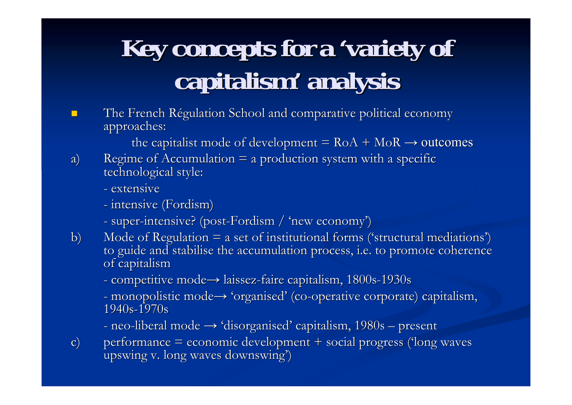# Key concepts for a 'variety of **capitalism capitalism' analysis analysis**

**.** The French Régulation School and comparative political economy approaches: approaches:

the capitalist mode of development =  $RoA + MoR \rightarrow$  outcomes

- a) Regime of Accumulation  $=$  a production system with a specific technological style:
	- extensive
	- intensive (Fordism)
	- super-intensive? (post-Fordism / 'new economy')
- b) Mode of Regulation  $=$  a set of institutional forms ('structural mediations') to guide and stabilise the accumulation process, i.e. to promote coherence of capitalism
	- competitive mode→ laissez-faire capitalism, 1800s-1930s
	- monopolistic mode $\rightarrow$  'organised' (co-operative corporate) capitalism, 1940s-1970s
	- neo-liberal mode  $\rightarrow$  'disorganised' capitalism, 1980s  $\cdot$ – present
- c) performance  $=$  economic development  $+$  social progress ('long waves upswing v. long waves downswing')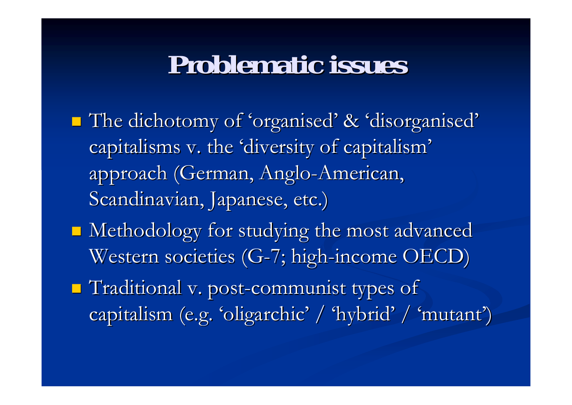# **Problematic issues Problematic issues**

- **The dichotomy of 'organised' & 'disorganised'** capitalisms v. the 'diversity of capitalism' approach (German, Anglo-American, Scandinavian, Japanese, etc.)
- **I** Methodology for studying the most advanced Western societies (G-7; high-income OECD)
- $\blacksquare$  Traditional v. post-communist types of capitalism (e.g. 'oligarchic' / 'hybrid' / 'mutant' )<br>(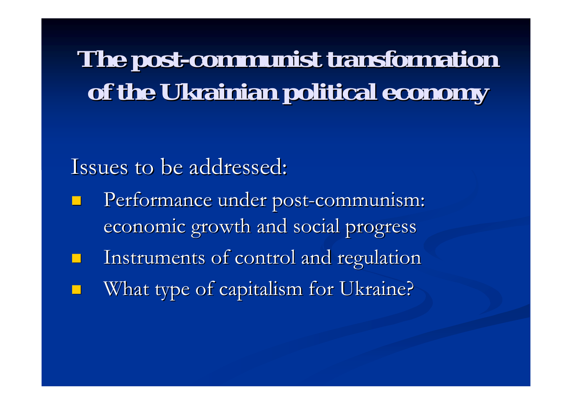**The post The post-communist transformation communist transformation**  of the Ukrainian political economy

Issues to be addressed:

- **.** Performance under post-communism: economic growth and social progress
- !Instruments of control and regulation !What type of capitalism for Ukraine?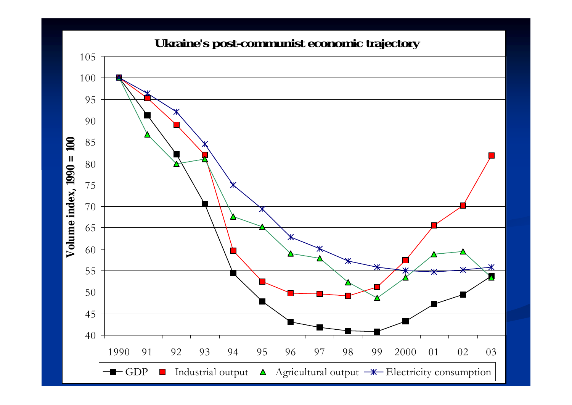#### **Ukraine's post-communist economic trajectory**

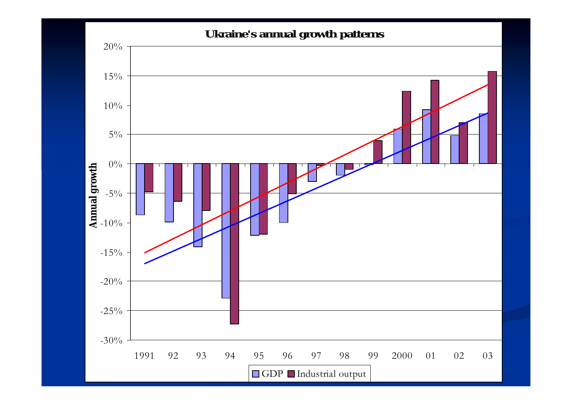#### **Ukraine's annual growth patterns**

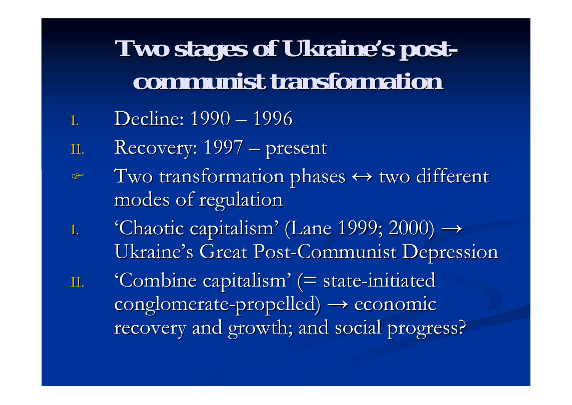# **Two stages of Ukraine Two stages of Ukraine's postcommunist transformation communist transformation**

- 1. Decline: 1990 1996
- II. Recovery: 1997 - $-$  present
- $\mathbb{F}$  $\bullet$  Two transformation phases  $\leftrightarrow$  two different modes of regulation modes of regulation
- I. 'Chaotic capitalism' (Lane 1999; 2000)  $\rightarrow$ Ukraine's Great Post-Communist Depression
- II. 'Combine capitalism' (= state-initiated  $\operatorname{conglomerate-propelled)} \longrightarrow \operatorname{economic}$ recovery and growth; and social progress?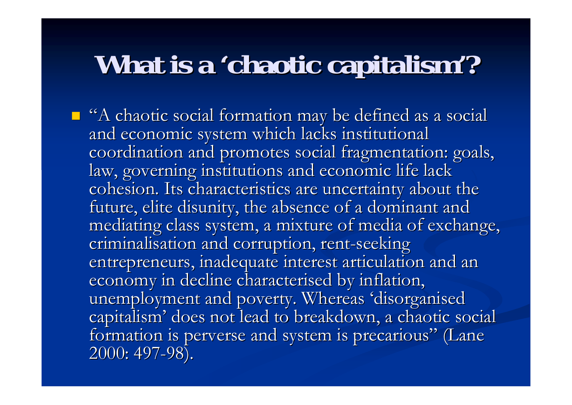# **What is a 'chaotic capitalism'?**

**I** "A chaotic social formation may be defined as a social and economic system which lacks institutional coordination and promotes social fragmentation: goals, law, governing institutions and economic life lack cohesion. Its characteristics are uncertainty about the future, elite disunity, the absence of a dominant and mediating class system, a mixture of media of exchange, criminalisation and corruption, rent-seeking entrepreneurs, inadequate interest articulation and an economy in decline characterised by inflation, unemployment and poverty. Whereas 'disorganised capitalism' does not lead to breakdown, a chaotic social formation is perverse and system is precarious" (Lane 2000: 497-98).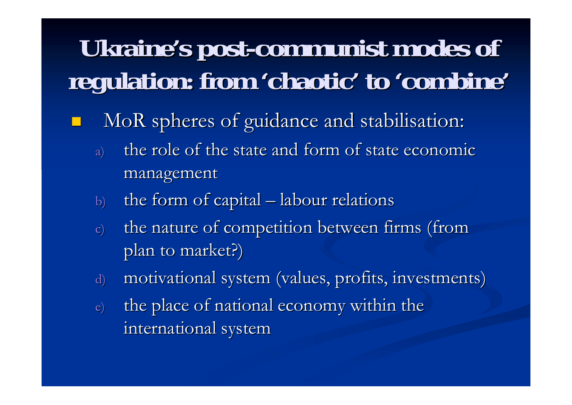# Ukraine's post-communist modes of **regulation: from regulation: from 'chaotic chaotic' to 'combine combine'**

- !MoR spheres of guidance and stabilisation:
	- a) the role of the state and form of state economic management management
	- b) the form of capital  $-$  labour relations
	- c) the nature of competition between firms (from plan to market?)
	- d) motivational system (values, profits, investments)
	- e) the place of national economy within the international system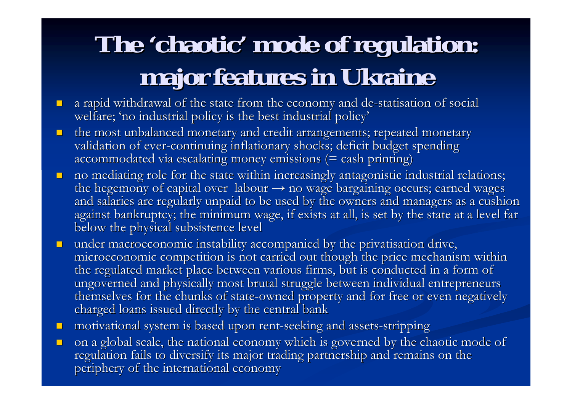# The 'chaotic' mode of regulation: **major features in Ukraine major features in Ukraine**

- ! $\Box$  a rapid withdrawal of the state from the economy and de-statisation of social welfare; 'no industrial policy is the best industrial policy'
- **.** the most unbalanced monetary and credit arrangements; repeated monetary validation of ever-continuing inflationary shocks; deficit budget spending accommodated via escalating money emissions (= cash printing)
- **.** no mediating role for the state within increasingly antagonistic industrial relations; the hegemony of capital over  $\,$  labour  $\rightarrow$  no wage bargaining occurs; earned wages  $\,$ and salaries are regularly unpaid to be used by the owners and managers as a cushion against bankruptcy; the minimum wage, if exists at all, is set by the state at a level far below the physical subsistence level
- **.** under macroeconomic instability accompanied by the privatisation drive, microeconomic competition is not carried out though the price mechanism within the regulated market place between various firms, but is conducted in a form of ungoverned and physically most brutal struggle between individual entrepreneurs themselves for the chunks of state-owned property and for free or even negatively charged loans issued directly by the central bank
- ! $\blacksquare$  motivational system is based upon rent-seeking and assets-stripping
- **.** on a global scale, the national economy which is governed by the chaotic mode of regulation fails to diversify its major trading partnership and remains on the periphery of the international economy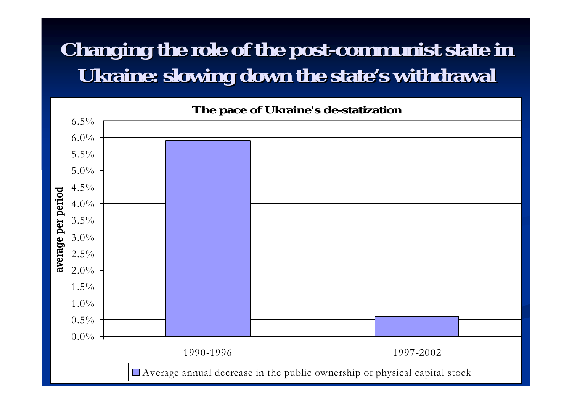### **Changing the role of the post Changing the role of the post-communist state in communist state in Ukraine: slowing down the state's withdrawal**

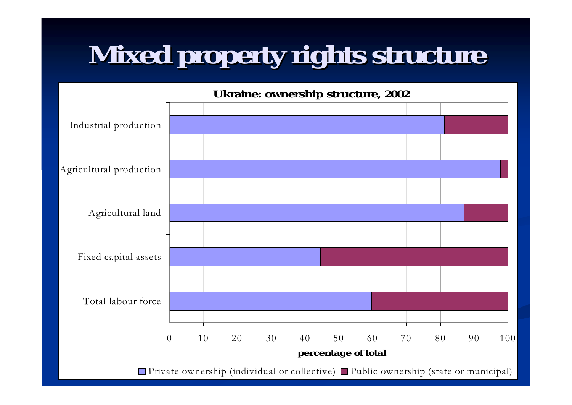# **Mixed property rights structure Mixed property rights structure**



Private ownership (individual or collective) ■Public ownership (state or municipal)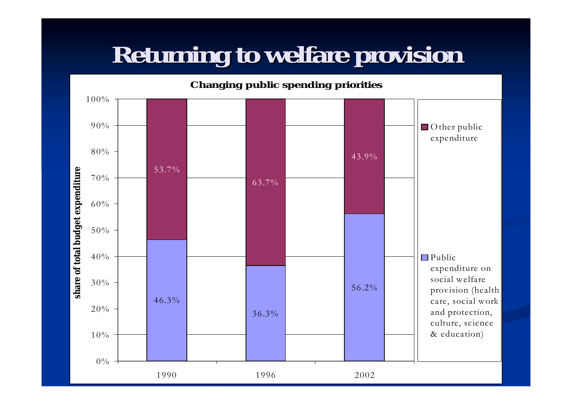# **Returning to welfare provision Returning to welfare provision**

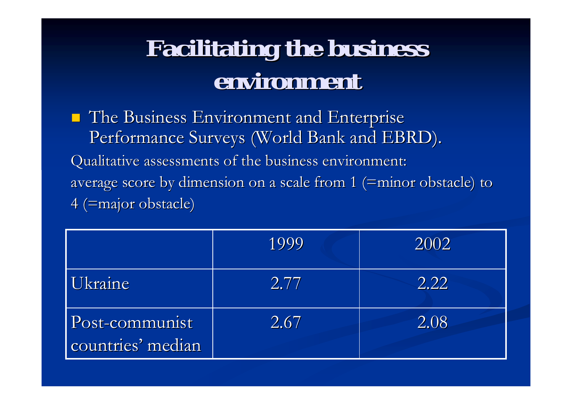# **Facilitating the business Facilitating the business environment environment**

**The Business Environment and Enterprise** Performance Surveys (World Bank and EBRD). Qualitative assessments of the business environment: average score by dimension on a scale from 1 (=minor obstacle) to 4 (=major obstacle) 4 (=major obstacle)

|                                     | 1999 | 2002 |
|-------------------------------------|------|------|
| Ukraine                             | 2.77 | 2.22 |
| Post-communist<br>countries' median | 2.67 | 2.08 |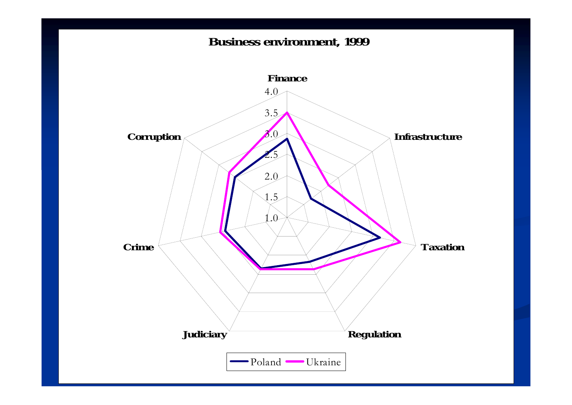#### **Business environment, 1999**

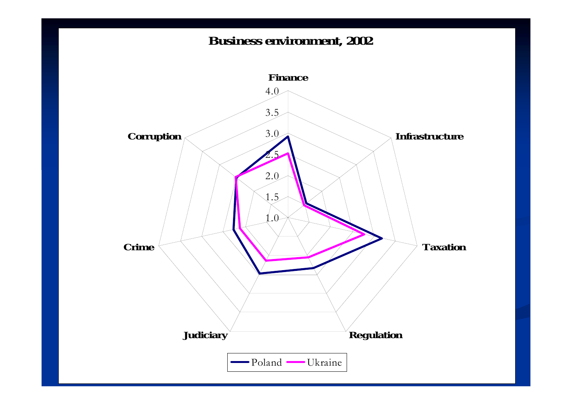#### **Business environment, 2002**

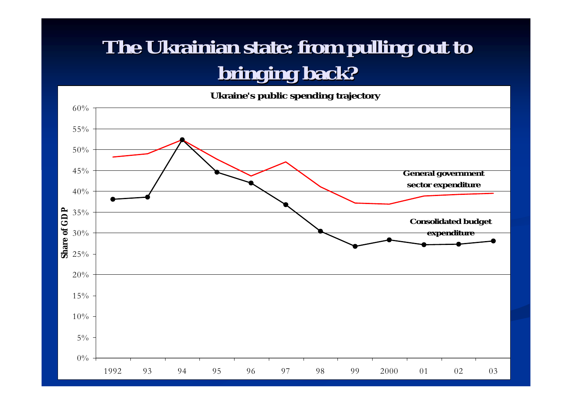### **The Ukrainian state: from pulling out to bringing back? bringing back?**

Ukraine's public spending trajectory

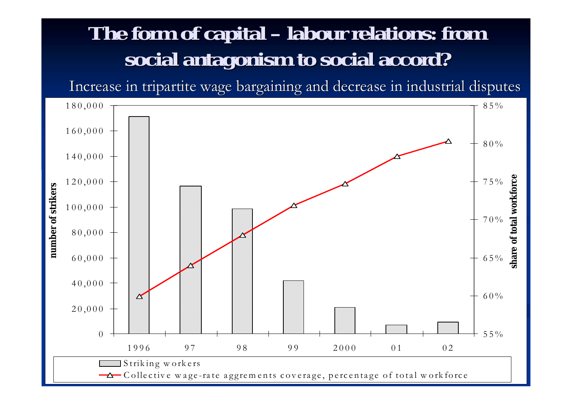#### **The form of capital The form of capital labour relations: from labour relations: from social antagonism to social accord? social antagonism to social accord?**

Increase in tripartite wage bargaining and decrease in industrial disputes

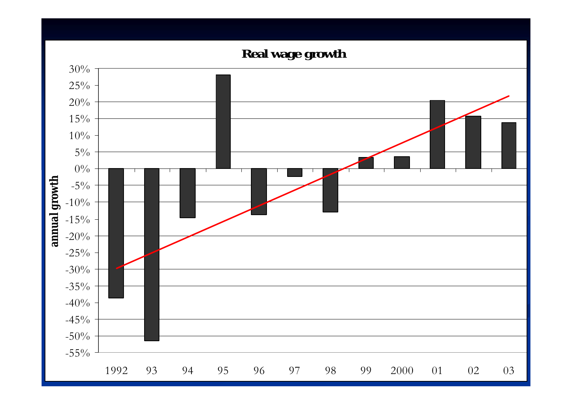**Real wage growth**

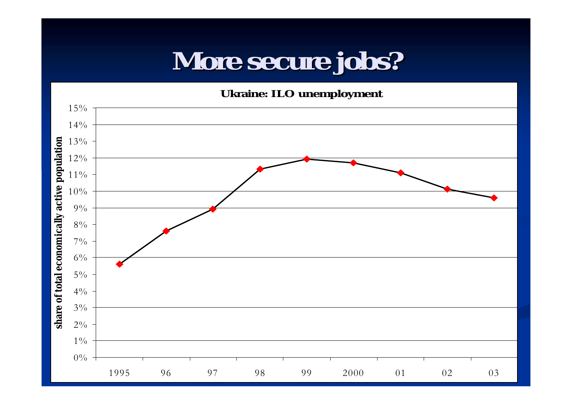# **More secure jobs? More secure jobs?**

**U k r aine: I L O u nem plo ym e n t**

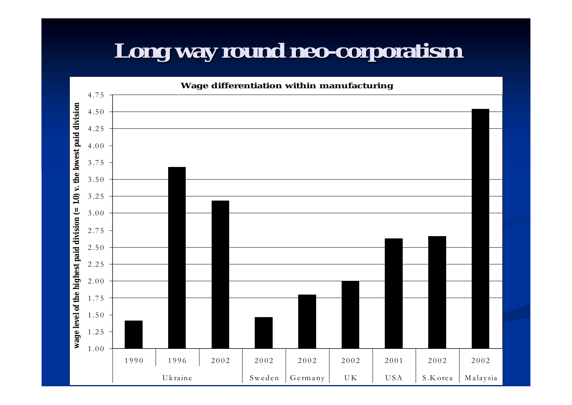### **Long way round neo Long way round neo-corporatism corporatism**

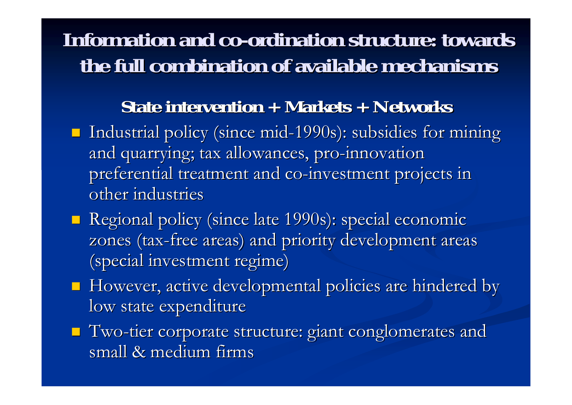### **Information and co-ordination structure: towards the full combination of available mechanisms the full combination of available mechanisms**

### **State intervention + Markets + Networks State intervention + Markets + Networks**

- **I** Industrial policy (since mid-1990s): subsidies for mining and quarrying; tax allowances, pro-innovation preferential treatment and co-investment projects in other industries
- **E** Regional policy (since late 1990s): special economic zones (tax-free areas) and priority development areas (special investment regime)
- $\blacksquare$  However, active developmental policies are hindered by low state expenditure
- ! Two -tier corporate structure: giant conglomerates and tier corporate structure: giant conglomerates and small & medium firms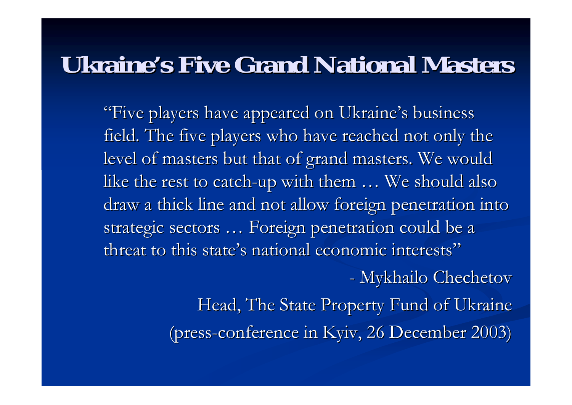### **Ukraine's Five Grand National Masters**

"Five players have appeared on Ukraine's business field. The five players who have reached not only the level of masters but that of grand masters. We would like the rest to catch-up with them  $\ldots$  We should also draw a thick line and not allow foreign penetration into strategic sectors ... Foreign penetration could be a threat to this state's national economic interests"

- Mykhailo Chechetov

Head, The State Property Fund of Ukraine (press-conference in Kyiv, 26 December 2003)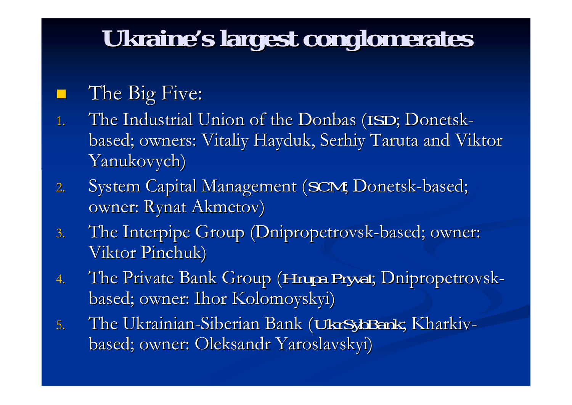# **Ukraine's largest conglomerates**

### The Big Five:

 $\Box$ 

- 1. The Industrial Union of the Donbas (*ISD*; Donetskbased; owners: Vitaliy Hayduk, Serhiy Taruta and Viktor Yanukovych)
- 2. System Capital Management (*SCM*; Donetsk-based; owner: Rynat Akmetov)
- 3. The Interpipe Group (Dnipropetrovsk-based; owner: Viktor Pinchuk)
- 4. The Private Bank Group (*Hrupa Pryvat*; Dnipropetrovskbased; owner: Ihor Kolomoyskyi) based; owner: Ihor Kolomoyskyi)
- 5. The Ukrainian-Siberian Bank (*UkrSybBank*; Kharkivbased; owner: Oleksandr Yaroslavskyi) based; owner: Oleksandr Yaroslavskyi)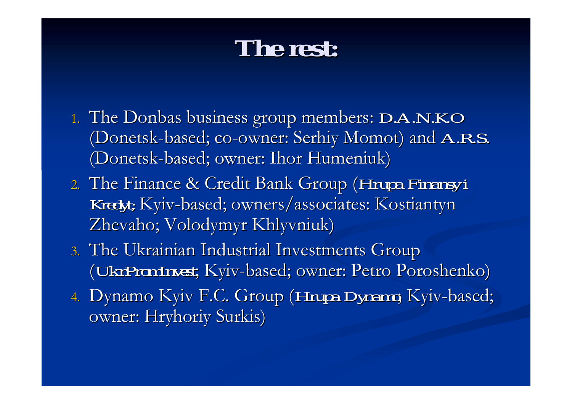## **The rest: The rest:**

- 1. The Donbas business group members: *D.A.N.K.O* (Donetsk-based; co-owner: Serhiy Momot) and *A.R.S.* (Donetsk-based; owner: Ihor Humeniuk)
- 2. The Finance & Credit Bank Group (*Hrupa Finansy i Kredyt;* Kyiv-based; owners/associates: Kostiantyn Zhevaho; Volodymyr Khlyvniuk) Zhevaho; Volodymyr Khlyvniuk)
- 3. The Ukrainian Industrial Investments Group (*UkrPromInvest UkrPromInvest*; Kyiv-based; owner: Petro Poroshenko) based; owner: Petro Poroshenko)
- 4. Dynamo Kyiv F.C. Group (*Hrupa Dynamo*; Kyiv-based; owner: Hryhoriy Surkis)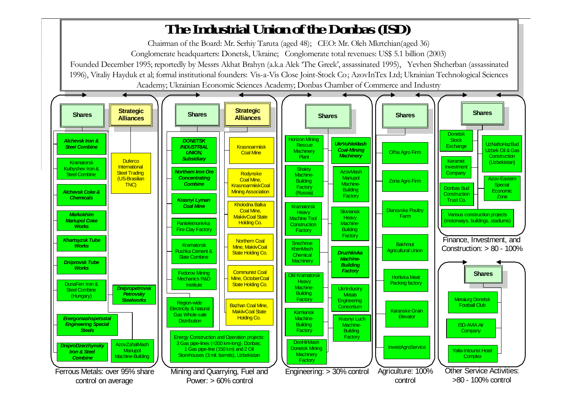#### **The Industri al U ni on of the Donbas ( I S D )**

Ch airm a n of t he B o ard: Mr. Serhiy T aruta ( age d 4 8); C E O: Mr. Oleh Mkrtchia n(aged 3 6)

C o nglo merate hea d q u arters: D o netsk, U kraine; C o nglo merate t otal reven ues: U S \$ 5.1 billio n (2003)

Founded December 1995; reportedly by Messrs Akhat Brahyn (a.k.a Alek 'The Greek', assassinated 1995), Yevhen Shcherban (assassinated 1996), Vitaliy Hayduk et al; formal institutional founders: Vis-a-Vis Close Joint-Stock Co; AzovInTex Ltd; Ukrainian Technological Sciences Academy; Ukrainian Econo mic Sciences Academy; D onbas Chamber of Commerce and Industry

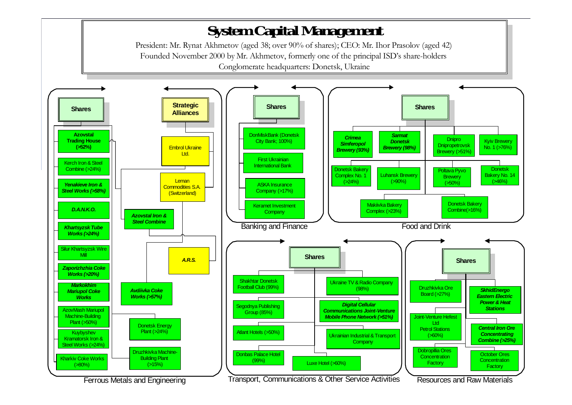#### **System Capital Management**

President: Mr. Rynat Akhmetov (aged 38; over 90% of shares); CEO: Mr. Ihor Prasolov (aged 42) Founded November 2000 by Mr. Akhmetov, formerly one of the principal ISD's share-holders Conglomerate headquarters: Donetsk, Ukraine

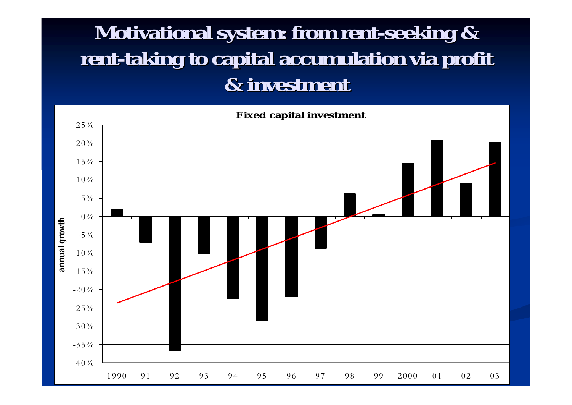### **Motivational system: from rent-seeking &** rent-taking to capital accumulation via profit **& investment & investment**

**Fi x ed c api t al i n v e s t m ent**

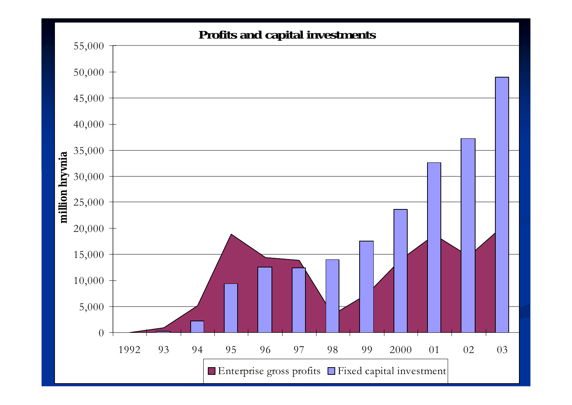#### **Profits and capital investments** 05,000 10,000 15,000 20,000 25,000 30,000 35,000 40,000 45,000 50,000 55,000 1992 93 94 95 96 97 98 99 2000 01 02 03 **mi l l i on hryvni a** Enterprise gross profits Fixed capital investment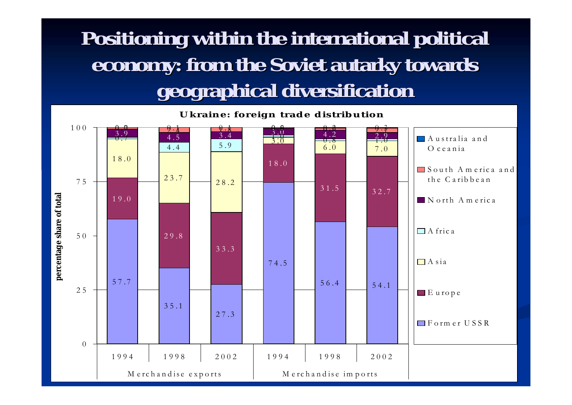### **Positioning within the international political Positioning within the international political economy: from the Soviet autarky towards geographical diversification geographical diversification**

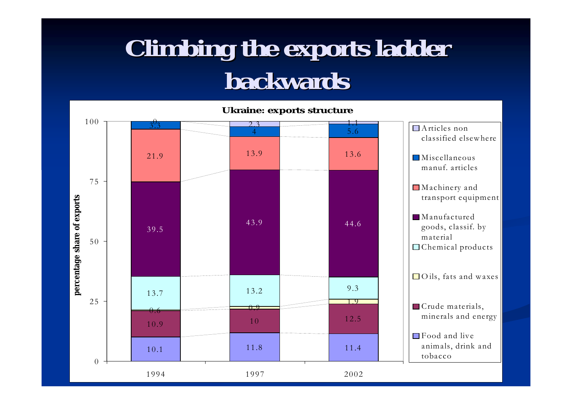# **Climbing the exports ladder backwards backwards**

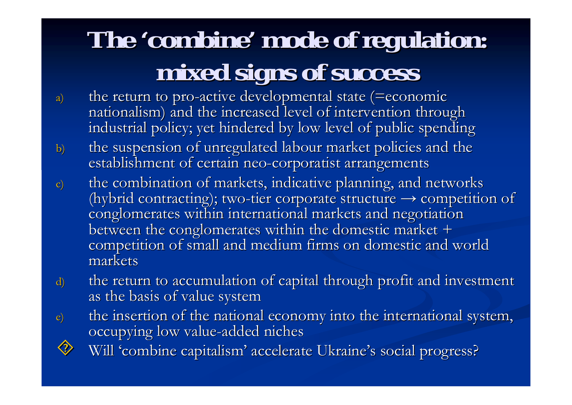# The 'combine' mode of regulation: **mixed signs of success mixed signs of success**

- a) the return to pro-active developmental state (=economic nationalism) and the increased level of intervention through industrial policy; yet hindered by low level of public spending
- b) the suspension of unregulated labour market policies and the establishment of certain neo-corporatist arrangements
- c) the combination of markets, indicative planning, and networks (hybrid contracting); two-tier corporate structure  $\rightarrow$  competition of conglomerates within international markets and negotiation between the conglomerates within the domestic market + competition of small and medium firms on domestic and world markets
- d) the return to accumulation of capital through profit and investment as the basis of value system
- e) the insertion of the national economy into the international system, occupying low value-added niches  $\textcolor{blue}{\diamondsuit}$ 
	- Will 'combine capitalism' accelerate Ukraine's social progress?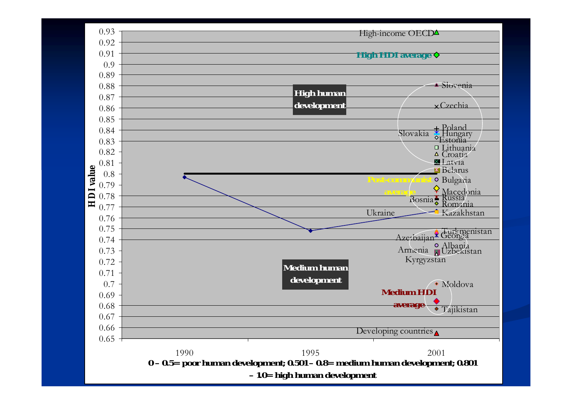